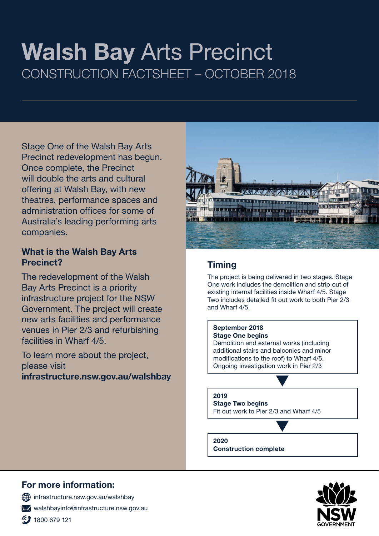# Walsh Bay Arts Precinct CONSTRUCTION FACTSHEET – OCTOBER 2018

Stage One of the Walsh Bay Arts Precinct redevelopment has begun. Once complete, the Precinct will double the arts and cultural offering at Walsh Bay, with new theatres, performance spaces and administration offices for some of Australia's leading performing arts companies.

### What is the Walsh Bay Arts Precinct?

The redevelopment of the Walsh Bay Arts Precinct is a priority infrastructure project for the NSW Government. The project will create new arts facilities and performance venues in Pier 2/3 and refurbishing facilities in Wharf 4/5.

To learn more about the project, please visit

infrastructure.nsw.gov.au/walshbay



## **Timing**

The project is being delivered in two stages. Stage One work includes the demolition and strip out of existing internal facilities inside Wharf 4/5. Stage Two includes detailed fit out work to both Pier 2/3 and Wharf 4/5.

#### September 2018

Stage One begins Demolition and external works (including additional stairs and balconies and minor modifications to the roof) to Wharf 4/5. Ongoing investigation work in Pier 2/3

#### 2019 Stage Two begins Fit out work to Pier 2/3 and Wharf 4/5

2020

Construction complete

# For more information:

 $\bigoplus$  infrastructure.nsw.gov.au/walshbay

walshbayinfo@infrastructure.nsw.gov.au